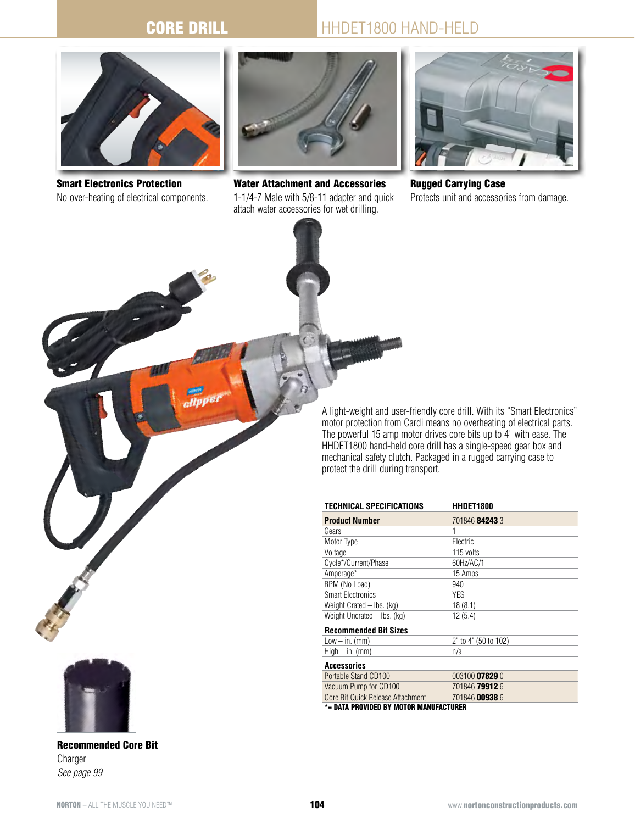$\sim$ 

## HHDET1800 HAND-HELD



Smart Electronics Protection No over-heating of electrical components.



Water Attachment and Accessories 1-1/4-7 Male with 5/8-11 adapter and quick attach water accessories for wet drilling.



Rugged Carrying Case Protects unit and accessories from damage.

A light-weight and user-friendly core drill. With its "Smart Electronics" motor protection from Cardi means no overheating of electrical parts. The powerful 15 amp motor drives core bits up to 4" with ease. The HHDET1800 hand-held core drill has a single-speed gear box and mechanical safety clutch. Packaged in a rugged carrying case to protect the drill during transport.

| TECHNICAL SPECIFICATIONS               | HHDET1800            |  |  |  |
|----------------------------------------|----------------------|--|--|--|
| <b>Product Number</b>                  | 701846 84243 3       |  |  |  |
| Gears                                  | 1                    |  |  |  |
| Motor Type                             | Electric             |  |  |  |
| Voltage                                | 115 volts            |  |  |  |
| Cycle*/Current/Phase                   | 60Hz/AC/1            |  |  |  |
| Amperage*                              | 15 Amps              |  |  |  |
| RPM (No Load)                          | 940                  |  |  |  |
| <b>Smart Electronics</b>               | YES                  |  |  |  |
| Weight Crated $-$ lbs. (kg)            | 18(8.1)              |  |  |  |
| Weight Uncrated – Ibs. (kg)            | 12(5.4)              |  |  |  |
| <b>Recommended Bit Sizes</b>           |                      |  |  |  |
| $Low - in.$ (mm)                       | 2" to 4" (50 to 102) |  |  |  |
| $High - in.$ (mm)                      | n/a                  |  |  |  |
| Accessories                            |                      |  |  |  |
| Portable Stand CD100                   | 003100 07829 0       |  |  |  |
| Vacuum Pump for CD100                  | 701846 79912 6       |  |  |  |
| Core Bit Quick Release Attachment      | 701846 00938 6       |  |  |  |
| *= DATA PROVIDED BY MOTOR MANUFACTURER |                      |  |  |  |



Recommended Core Bit Charger *See page 99*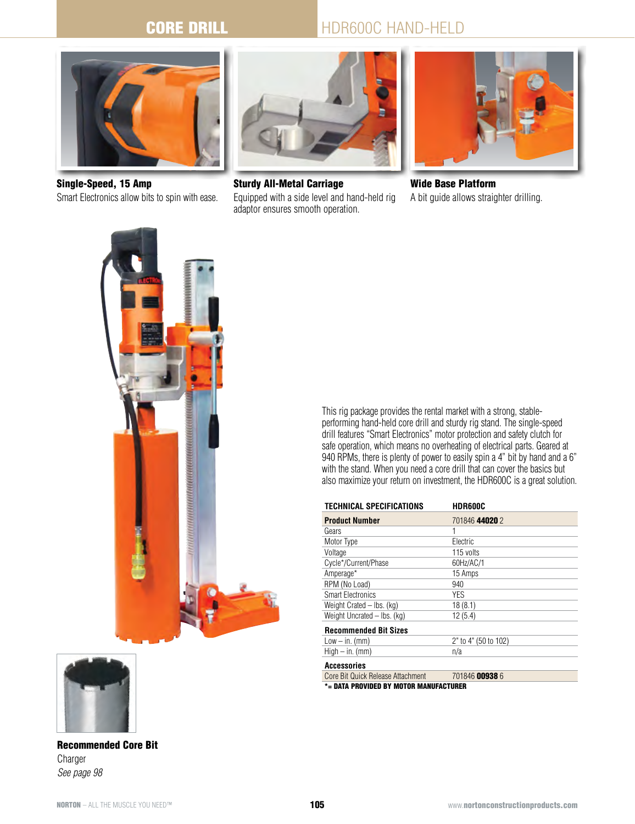## HDR600C HAND-HELD



Single-Speed, 15 Amp Smart Electronics allow bits to spin with ease.



Sturdy All-Metal Carriage Equipped with a side level and hand-held rig adaptor ensures smooth operation.



Wide Base Platform A bit guide allows straighter drilling.



Recommended Core Bit Charger *See page 98*

This rig package provides the rental market with a strong, stableperforming hand-held core drill and sturdy rig stand. The single-speed drill features "Smart Electronics" motor protection and safety clutch for safe operation, which means no overheating of electrical parts. Geared at 940 RPMs, there is plenty of power to easily spin a 4" bit by hand and a 6" with the stand. When you need a core drill that can cover the basics but also maximize your return on investment, the HDR600C is a great solution.

| <b>TECHNICAL SPECIFICATIONS</b>   | <b>HDR600C</b>       |  |  |
|-----------------------------------|----------------------|--|--|
| <b>Product Number</b>             | 701846 44020 2       |  |  |
| Gears                             | 1                    |  |  |
| Motor Type                        | Electric             |  |  |
| Voltage                           | 115 volts            |  |  |
| Cycle*/Current/Phase              | 60Hz/AC/1            |  |  |
| Amperage*                         | 15 Amps              |  |  |
| RPM (No Load)                     | 940                  |  |  |
| <b>Smart Electronics</b>          | YES                  |  |  |
| Weight Crated - Ibs. (kg)         | 18(8.1)              |  |  |
| Weight Uncrated - Ibs. (kg)       | 12(5.4)              |  |  |
| <b>Recommended Bit Sizes</b>      |                      |  |  |
| $Low - in.$ (mm)                  | 2" to 4" (50 to 102) |  |  |
| $High - in.$ (mm)                 | n/a                  |  |  |
| Accessories                       |                      |  |  |
| Core Bit Quick Release Attachment | 701846 00938 6       |  |  |
| MANUEACTURED                      |                      |  |  |

= Data Provided by Motor Manufacturer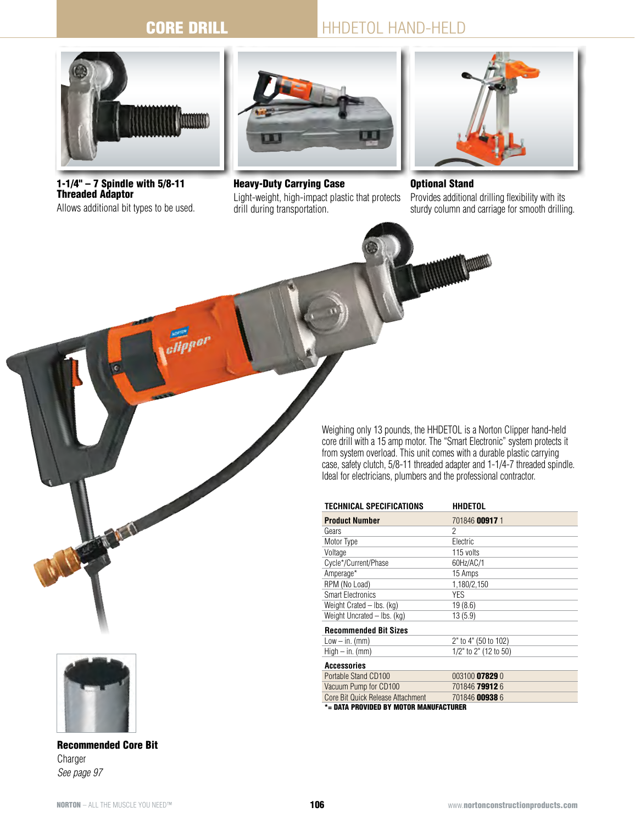elipper

## HHDETOL hand-held



1-1/4" – 7 Spindle with 5/8-11 Threaded Adaptor Allows additional bit types to be used.



Light-weight, high-impact plastic that protects

Heavy-Duty Carrying Case

drill during transportation.

Optional Stand

Provides additional drilling flexibility with its sturdy column and carriage for smooth drilling.

Weighing only 13 pounds, the HHDETOL is a Norton Clipper hand-held core drill with a 15 amp motor. The "Smart Electronic" system protects it from system overload. This unit comes with a durable plastic carrying case, safety clutch, 5/8-11 threaded adapter and 1-1/4-7 threaded spindle. Ideal for electricians, plumbers and the professional contractor.

| TECHNICAL SPECIFICATIONS               | <b>HHDETOL</b>        |  |  |
|----------------------------------------|-----------------------|--|--|
| <b>Product Number</b>                  | 701846 00917 1        |  |  |
| Gears                                  | 2                     |  |  |
| Motor Type                             | Electric              |  |  |
| Voltage                                | 115 volts             |  |  |
| Cycle*/Current/Phase                   | 60Hz/AC/1             |  |  |
| Amperage*                              | 15 Amps               |  |  |
| RPM (No Load)                          | 1,180/2,150           |  |  |
| <b>Smart Electronics</b>               | YES                   |  |  |
| Weight Crated - Ibs. (kg)              | 19(8.6)               |  |  |
| Weight Uncrated – Ibs. (kg)            | 13(5.9)               |  |  |
| <b>Recommended Bit Sizes</b>           |                       |  |  |
| $Low - in.$ (mm)                       | 2" to 4" (50 to 102)  |  |  |
| $High - in.$ (mm)                      | 1/2" to 2" (12 to 50) |  |  |
| <b>Accessories</b>                     |                       |  |  |
| Portable Stand CD100                   | 003100 07829 0        |  |  |
| Vacuum Pump for CD100                  | 701846 79912 6        |  |  |
| Core Bit Quick Release Attachment      | 701846 00938 6        |  |  |
| *= DATA PROVIDED BY MOTOR MANUFACTURER |                       |  |  |



Recommended Core Bit Charger *See page 97*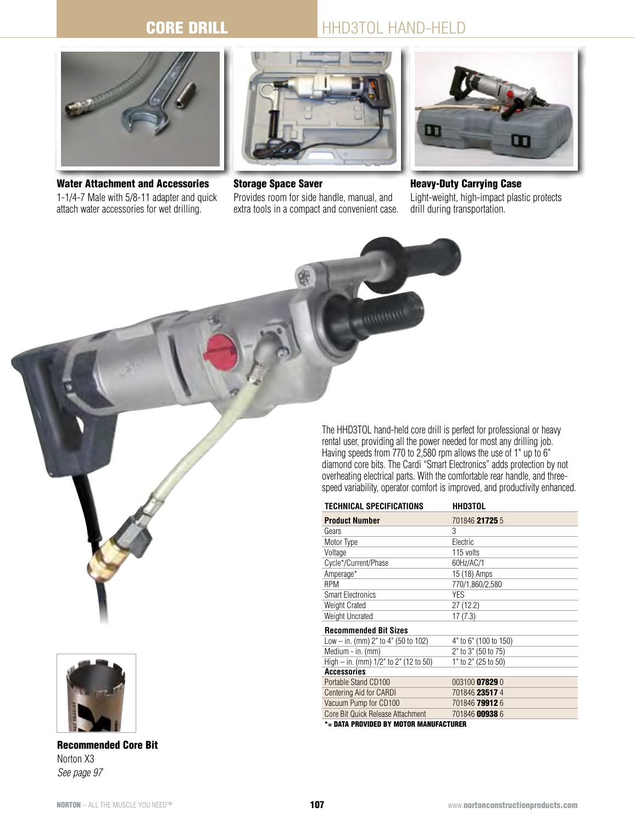# HHD3TOL HAND-HELD



Water Attachment and Accessories 1-1/4-7 Male with 5/8-11 adapter and quick attach water accessories for wet drilling.



Storage Space Saver Provides room for side handle, manual, and extra tools in a compact and convenient case.



Heavy-Duty Carrying Case Light-weight, high-impact plastic protects drill during transportation.

The HHD3TOL hand-held core drill is perfect for professional or heavy rental user, providing all the power needed for most any drilling job. Having speeds from 770 to 2,580 rpm allows the use of 1" up to 6" diamond core bits. The Cardi "Smart Electronics" adds protection by not overheating electrical parts. With the comfortable rear handle, and threespeed variability, operator comfort is improved, and productivity enhanced.

| TECHNICAL SPECIFICATIONS              | <b>HHD3TOL</b>        |
|---------------------------------------|-----------------------|
| <b>Product Number</b>                 | 701846 21725 5        |
| Gears                                 | 3                     |
| Motor Type                            | Electric              |
| Voltage                               | 115 volts             |
| Cycle*/Current/Phase                  | 60Hz/AC/1             |
| Amperage*                             | 15 (18) Amps          |
| <b>RPM</b>                            | 770/1,860/2,580       |
| <b>Smart Electronics</b>              | YES                   |
| Weight Crated                         | 27(12.2)              |
| Weight Uncrated                       | 17(7.3)               |
| <b>Recommended Bit Sizes</b>          |                       |
| Low $-$ in. (mm) 2" to 4" (50 to 102) | 4" to 6" (100 to 150) |
| Medium - in. (mm)                     | 2" to 3" (50 to 75)   |
| High – in. (mm) 1/2" to 2" (12 to 50) | 1" to 2" (25 to 50)   |
| <b>Accessories</b>                    |                       |
| Portable Stand CD100                  | 003100 07829 0        |
| Centering Aid for CARDI               | 701846 23517 4        |
| Vacuum Pump for CD100                 | 701846 79912 6        |
| Core Bit Quick Release Attachment     | 701846 00938 6        |

\*= DATA PROVIDED BY MOTOR MA



Recommended Core Bit Norton X3 *See page 97*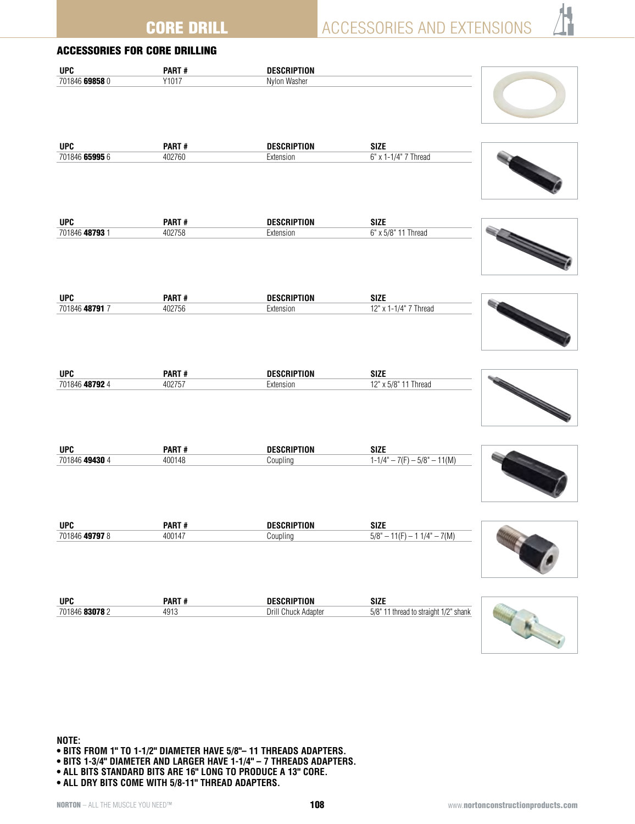ACCESSORIES AND EXTENSIONS

|                | <b>ACCESSORIES FOR CORE DRILLING</b> |                     |                                       |  |
|----------------|--------------------------------------|---------------------|---------------------------------------|--|
| <b>UPC</b>     | PART#                                | <b>DESCRIPTION</b>  |                                       |  |
| 701846 69858 0 | Y1017                                | Nylon Washer        |                                       |  |
| <b>UPC</b>     | PART#                                | <b>DESCRIPTION</b>  | <b>SIZE</b>                           |  |
| 701846 65995 6 | 402760                               | Extension           | 6" x 1-1/4" 7 Thread                  |  |
| <b>UPC</b>     | PART#                                | <b>DESCRIPTION</b>  | <b>SIZE</b>                           |  |
| 701846 48793 1 | 402758                               | Extension           | 6" x 5/8" 11 Thread                   |  |
| <b>UPC</b>     | PART#                                | <b>DESCRIPTION</b>  | <b>SIZE</b>                           |  |
| 701846 48791 7 | 402756                               | Extension           | 12" x 1-1/4" 7 Thread                 |  |
| <b>UPC</b>     | PART#                                | <b>DESCRIPTION</b>  | <b>SIZE</b>                           |  |
| 701846 48792 4 | 402757                               | Extension           | 12" x 5/8" 11 Thread                  |  |
| <b>UPC</b>     | PART#                                | <b>DESCRIPTION</b>  | <b>SIZE</b>                           |  |
| 701846 49430 4 | 400148                               | Coupling            | $1-1/4" - 7(F) - 5/8" - 11(M)$        |  |
| <b>UPC</b>     | PART#                                | <b>DESCRIPTION</b>  | <b>SIZE</b>                           |  |
| 701846 49797 8 | 400147                               | Coupling            | $5/8" - 11(F) - 11/4" - 7(M)$         |  |
| <b>UPC</b>     | PART#                                | <b>DESCRIPTION</b>  | <b>SIZE</b>                           |  |
| 701846 83078 2 | 4913                                 | Drill Chuck Adapter | 5/8" 11 thread to straight 1/2" shank |  |

**Note: • Bits from 1" to 1-1/2" diameter have 5/8"– 11 threads adapters.**

- **Bits 1-3/4" diameter and larger have 1-1/4" 7 threads adapters.**
- **All bits standard bits are 16" long to produce a 13" core.**
- **All dry bits come with 5/8-11" thread adapters.**